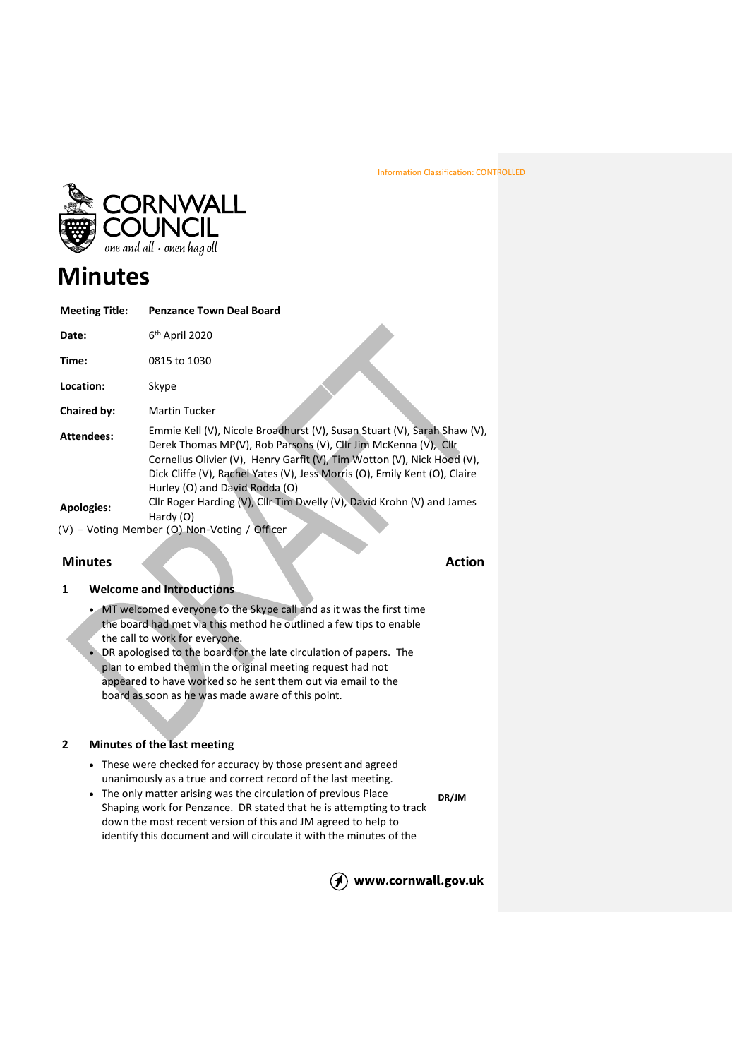

# **Minutes**

| <b>Meeting Title:</b> | <b>Penzance Town Deal Board</b>                                                                                                                                                                                                                                                                                                        |
|-----------------------|----------------------------------------------------------------------------------------------------------------------------------------------------------------------------------------------------------------------------------------------------------------------------------------------------------------------------------------|
| Date:                 | 6 <sup>th</sup> April 2020                                                                                                                                                                                                                                                                                                             |
| Time:                 | 0815 to 1030                                                                                                                                                                                                                                                                                                                           |
| Location:             | Skype                                                                                                                                                                                                                                                                                                                                  |
| Chaired by:           | <b>Martin Tucker</b>                                                                                                                                                                                                                                                                                                                   |
| Attendees:            | Emmie Kell (V), Nicole Broadhurst (V), Susan Stuart (V), Sarah Shaw (V),<br>Derek Thomas MP(V), Rob Parsons (V), Cllr Jim McKenna (V), Cllr<br>Cornelius Olivier (V), Henry Garfit (V), Tim Wotton (V), Nick Hood (V),<br>Dick Cliffe (V), Rachel Yates (V), Jess Morris (O), Emily Kent (O), Claire<br>Hurley (O) and David Rodda (O) |
| Apologies:            | Cllr Roger Harding (V), Cllr Tim Dwelly (V), David Krohn (V) and James<br>Hardy (O)                                                                                                                                                                                                                                                    |
|                       | (V) - Voting Member (O) Non-Voting / Officer                                                                                                                                                                                                                                                                                           |

# **Minutes Action**

# **1 Welcome and Introductions**

- MT welcomed everyone to the Skype call and as it was the first time the board had met via this method he outlined a few tips to enable the call to work for everyone.
- DR apologised to the board for the late circulation of papers. The plan to embed them in the original meeting request had not appeared to have worked so he sent them out via email to the board as soon as he was made aware of this point.

## **2 Minutes of the last meeting**

- These were checked for accuracy by those present and agreed unanimously as a true and correct record of the last meeting.
- The only matter arising was the circulation of previous Place Shaping work for Penzance. DR stated that he is attempting to track down the most recent version of this and JM agreed to help to identify this document and will circulate it with the minutes of the **DR/JM**

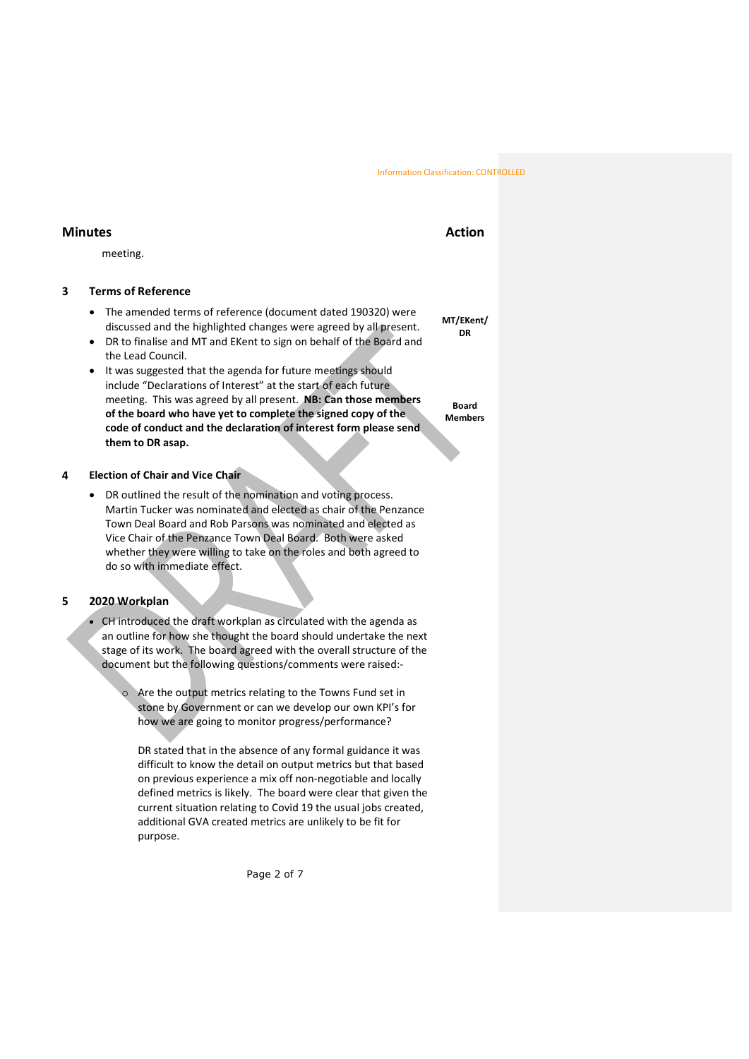# **Minutes Action**

meeting.

## **3 Terms of Reference**

- The amended terms of reference (document dated 190320) were discussed and the highlighted changes were agreed by all present.
- DR to finalise and MT and EKent to sign on behalf of the Board and the Lead Council.
- It was suggested that the agenda for future meetings should include "Declarations of Interest" at the start of each future meeting. This was agreed by all present. **NB: Can those members of the board who have yet to complete the signed copy of the code of conduct and the declaration of interest form please send them to DR asap.**

### **4 Election of Chair and Vice Chair**

• DR outlined the result of the nomination and voting process. Martin Tucker was nominated and elected as chair of the Penzance Town Deal Board and Rob Parsons was nominated and elected as Vice Chair of the Penzance Town Deal Board. Both were asked whether they were willing to take on the roles and both agreed to do so with immediate effect.

## **5 2020 Workplan**

• CH introduced the draft workplan as circulated with the agenda as an outline for how she thought the board should undertake the next stage of its work. The board agreed with the overall structure of the document but the following questions/comments were raised:-

> Are the output metrics relating to the Towns Fund set in stone by Government or can we develop our own KPI's for how we are going to monitor progress/performance?

DR stated that in the absence of any formal guidance it was difficult to know the detail on output metrics but that based on previous experience a mix off non-negotiable and locally defined metrics is likely. The board were clear that given the current situation relating to Covid 19 the usual jobs created, additional GVA created metrics are unlikely to be fit for purpose.

Page 2 of 7

**MT/EKent/ DR**

**Board Members**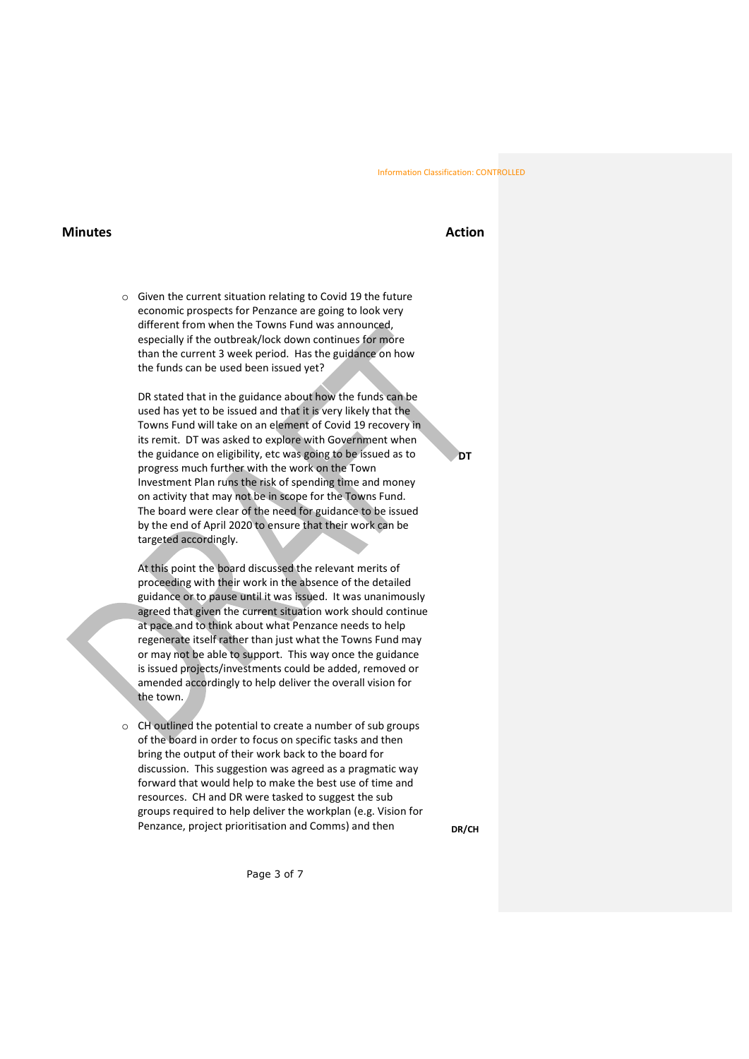## **Minutes Action**

o Given the current situation relating to Covid 19 the future economic prospects for Penzance are going to look very different from when the Towns Fund was announced, especially if the outbreak/lock down continues for more than the current 3 week period. Has the guidance on how the funds can be used been issued yet?

DR stated that in the guidance about how the funds can be used has yet to be issued and that it is very likely that the Towns Fund will take on an element of Covid 19 recovery in its remit. DT was asked to explore with Government when the guidance on eligibility, etc was going to be issued as to progress much further with the work on the Town Investment Plan runs the risk of spending time and money on activity that may not be in scope for the Towns Fund. The board were clear of the need for guidance to be issued by the end of April 2020 to ensure that their work can be targeted accordingly.

At this point the board discussed the relevant merits of proceeding with their work in the absence of the detailed guidance or to pause until it was issued. It was unanimously agreed that given the current situation work should continue at pace and to think about what Penzance needs to help regenerate itself rather than just what the Towns Fund may or may not be able to support. This way once the guidance is issued projects/investments could be added, removed or amended accordingly to help deliver the overall vision for the town.

o CH outlined the potential to create a number of sub groups of the board in order to focus on specific tasks and then bring the output of their work back to the board for discussion. This suggestion was agreed as a pragmatic way forward that would help to make the best use of time and resources. CH and DR were tasked to suggest the sub groups required to help deliver the workplan (e.g. Vision for Penzance, project prioritisation and Comms) and then

**DR/CH**

Page 3 of 7

**DT**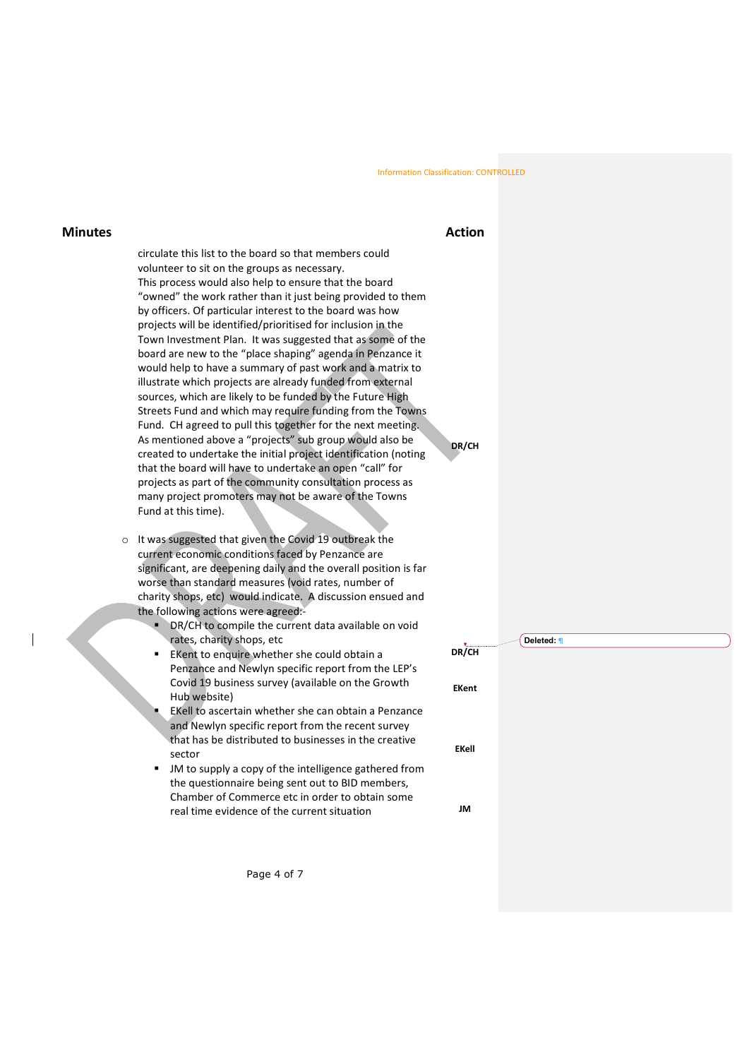# **Minutes Action**

**DR/CH**

circulate this list to the board so that members could volunteer to sit on the groups as necessary. This process would also help to ensure that the board "owned" the work rather than it just being provided to them by officers. Of particular interest to the board was how projects will be identified/prioritised for inclusion in the Town Investment Plan. It was suggested that as some of the board are new to the "place shaping" agenda in Penzance it would help to have a summary of past work and a matrix to illustrate which projects are already funded from external sources, which are likely to be funded by the Future High Streets Fund and which may require funding from the Towns Fund. CH agreed to pull this together for the next meeting. As mentioned above a "projects" sub group would also be created to undertake the initial project identification (noting that the board will have to undertake an open "call" for projects as part of the community consultation process as many project promoters may not be aware of the Towns Fund at this time).

- o It was suggested that given the Covid 19 outbreak the current economic conditions faced by Penzance are significant, are deepening daily and the overall position is far worse than standard measures (void rates, number of charity shops, etc) would indicate. A discussion ensued and the following actions were agreed:-
	- **DR/CH to compile the current data available on void** rates, charity shops, etc
	- EKent to enquire whether she could obtain a Penzance and Newlyn specific report from the LEP's Covid 19 business survey (available on the Growth Hub website)
	- EKell to ascertain whether she can obtain a Penzance and Newlyn specific report from the recent survey that has be distributed to businesses in the creative sector
	- JM to supply a copy of the intelligence gathered from the questionnaire being sent out to BID members, Chamber of Commerce etc in order to obtain some real time evidence of the current situation

Page 4 of 7

|              | Deleted: 1 |
|--------------|------------|
| DR/CH        |            |
|              |            |
| <b>EKent</b> |            |
|              |            |
|              |            |
|              |            |
| <b>EKell</b> |            |
|              |            |
|              |            |
|              |            |
| JM           |            |
|              |            |
|              |            |
|              |            |
|              |            |
|              |            |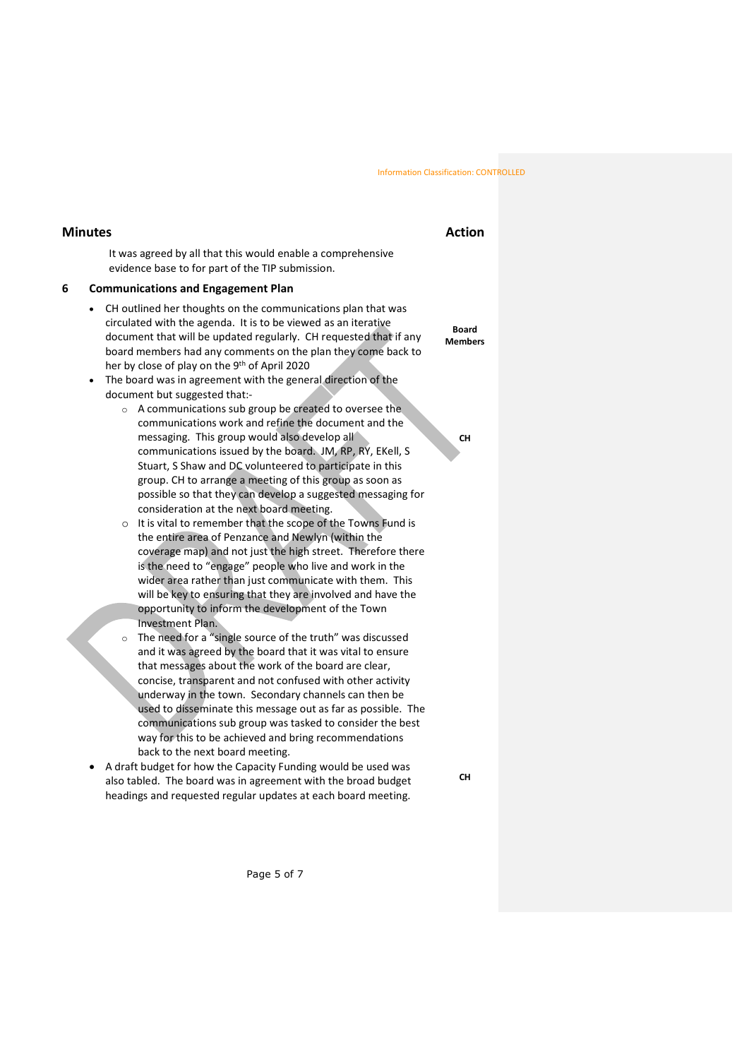# **Minutes Action**

It was agreed by all that this would enable a comprehensive evidence base to for part of the TIP submission.

### **6 Communications and Engagement Plan**

- CH outlined her thoughts on the communications plan that was circulated with the agenda. It is to be viewed as an iterative document that will be updated regularly. CH requested that if any board members had any comments on the plan they come back to her by close of play on the 9<sup>th</sup> of April 2020
- The board was in agreement with the general direction of the document but suggested that:
	- o A communications sub group be created to oversee the communications work and refine the document and the messaging. This group would also develop all communications issued by the board. JM, RP, RY, EKell, S Stuart, S Shaw and DC volunteered to participate in this group. CH to arrange a meeting of this group as soon as possible so that they can develop a suggested messaging for consideration at the next board meeting.
	- o It is vital to remember that the scope of the Towns Fund is the entire area of Penzance and Newlyn (within the coverage map) and not just the high street. Therefore there is the need to "engage" people who live and work in the wider area rather than just communicate with them. This will be key to ensuring that they are involved and have the opportunity to inform the development of the Town Investment Plan.
	- o The need for a "single source of the truth" was discussed and it was agreed by the board that it was vital to ensure that messages about the work of the board are clear, concise, transparent and not confused with other activity underway in the town. Secondary channels can then be used to disseminate this message out as far as possible. The communications sub group was tasked to consider the best way for this to be achieved and bring recommendations back to the next board meeting.
- A draft budget for how the Capacity Funding would be used was also tabled. The board was in agreement with the broad budget headings and requested regular updates at each board meeting.

**CH**

**Board Members**

**CH**

Page 5 of 7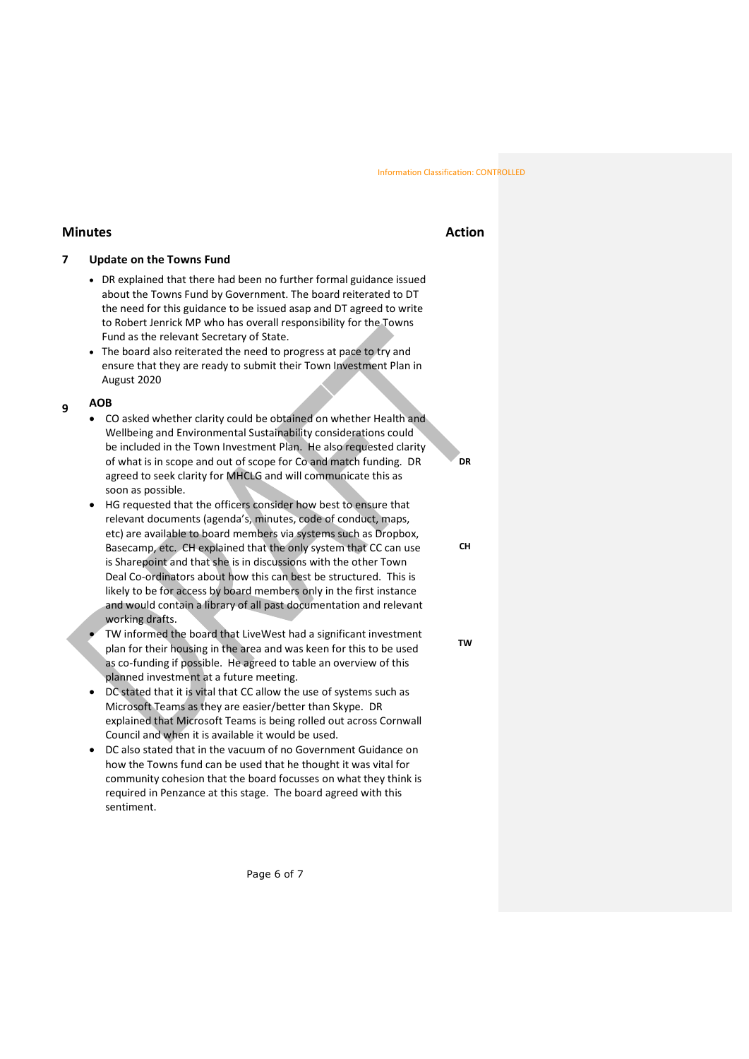# **Minutes Action**

# **7 Update on the Towns Fund**

- DR explained that there had been no further formal guidance issued about the Towns Fund by Government. The board reiterated to DT the need for this guidance to be issued asap and DT agreed to write to Robert Jenrick MP who has overall responsibility for the Towns Fund as the relevant Secretary of State.
- The board also reiterated the need to progress at pace to try and ensure that they are ready to submit their Town Investment Plan in August 2020

# **<sup>9</sup> AOB**

- CO asked whether clarity could be obtained on whether Health and Wellbeing and Environmental Sustainability considerations could be included in the Town Investment Plan. He also requested clarity of what is in scope and out of scope for Co and match funding. DR agreed to seek clarity for MHCLG and will communicate this as soon as possible.
- HG requested that the officers consider how best to ensure that relevant documents (agenda's, minutes, code of conduct, maps, etc) are available to board members via systems such as Dropbox, Basecamp, etc. CH explained that the only system that CC can use is Sharepoint and that she is in discussions with the other Town Deal Co-ordinators about how this can best be structured. This is likely to be for access by board members only in the first instance and would contain a library of all past documentation and relevant working drafts.
- TW informed the board that LiveWest had a significant investment plan for their housing in the area and was keen for this to be used as co-funding if possible. He agreed to table an overview of this planned investment at a future meeting.
- DC stated that it is vital that CC allow the use of systems such as Microsoft Teams as they are easier/better than Skype. DR explained that Microsoft Teams is being rolled out across Cornwall Council and when it is available it would be used.
- DC also stated that in the vacuum of no Government Guidance on how the Towns fund can be used that he thought it was vital for community cohesion that the board focusses on what they think is required in Penzance at this stage. The board agreed with this sentiment.

Page 6 of 7

**CH**

**DR**

**TW**